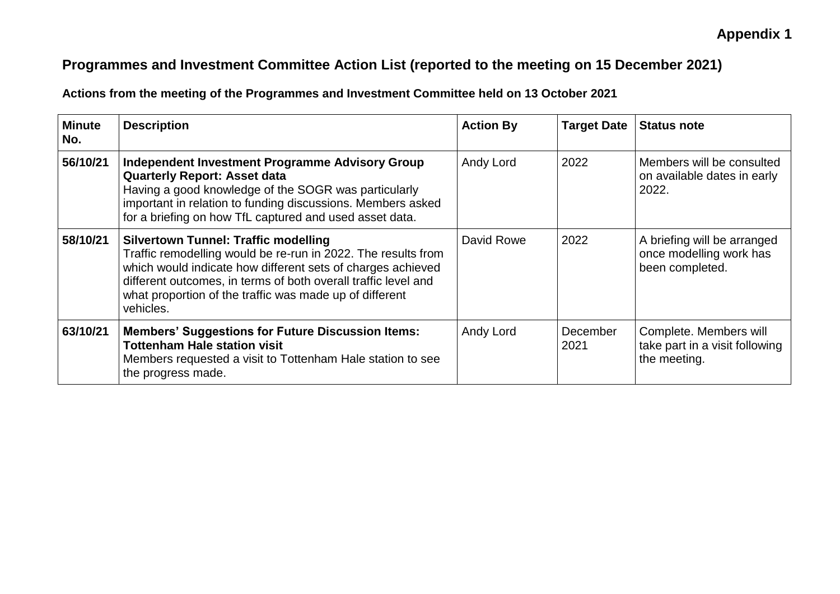## **Appendix 1**

## **Programmes and Investment Committee Action List (reported to the meeting on 15 December 2021)**

**Actions from the meeting of the Programmes and Investment Committee held on 13 October 2021**

| <b>Minute</b><br>No. | <b>Description</b>                                                                                                                                                                                                                                                                                                    | <b>Action By</b> | <b>Target Date</b> | <b>Status note</b>                                                        |
|----------------------|-----------------------------------------------------------------------------------------------------------------------------------------------------------------------------------------------------------------------------------------------------------------------------------------------------------------------|------------------|--------------------|---------------------------------------------------------------------------|
| 56/10/21             | Independent Investment Programme Advisory Group<br><b>Quarterly Report: Asset data</b><br>Having a good knowledge of the SOGR was particularly<br>important in relation to funding discussions. Members asked<br>for a briefing on how TfL captured and used asset data.                                              | Andy Lord        | 2022               | Members will be consulted<br>on available dates in early<br>2022.         |
| 58/10/21             | <b>Silvertown Tunnel: Traffic modelling</b><br>Traffic remodelling would be re-run in 2022. The results from<br>which would indicate how different sets of charges achieved<br>different outcomes, in terms of both overall traffic level and<br>what proportion of the traffic was made up of different<br>vehicles. | David Rowe       | 2022               | A briefing will be arranged<br>once modelling work has<br>been completed. |
| 63/10/21             | <b>Members' Suggestions for Future Discussion Items:</b><br><b>Tottenham Hale station visit</b><br>Members requested a visit to Tottenham Hale station to see<br>the progress made.                                                                                                                                   | Andy Lord        | December<br>2021   | Complete. Members will<br>take part in a visit following<br>the meeting.  |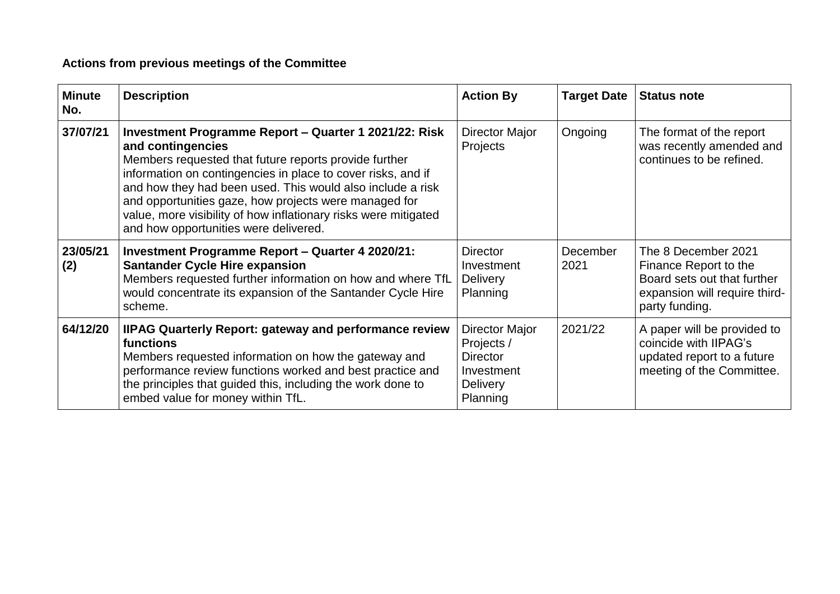## **Actions from previous meetings of the Committee**

| <b>Minute</b><br>No. | <b>Description</b>                                                                                                                                                                                                                                                                                                                                                                                                                     | <b>Action By</b>                                                                             | <b>Target Date</b> | <b>Status note</b>                                                                                                             |
|----------------------|----------------------------------------------------------------------------------------------------------------------------------------------------------------------------------------------------------------------------------------------------------------------------------------------------------------------------------------------------------------------------------------------------------------------------------------|----------------------------------------------------------------------------------------------|--------------------|--------------------------------------------------------------------------------------------------------------------------------|
| 37/07/21             | Investment Programme Report – Quarter 1 2021/22: Risk<br>and contingencies<br>Members requested that future reports provide further<br>information on contingencies in place to cover risks, and if<br>and how they had been used. This would also include a risk<br>and opportunities gaze, how projects were managed for<br>value, more visibility of how inflationary risks were mitigated<br>and how opportunities were delivered. | Director Major<br>Projects                                                                   | Ongoing            | The format of the report<br>was recently amended and<br>continues to be refined.                                               |
| 23/05/21<br>(2)      | <b>Investment Programme Report - Quarter 4 2020/21:</b><br><b>Santander Cycle Hire expansion</b><br>Members requested further information on how and where TfL<br>would concentrate its expansion of the Santander Cycle Hire<br>scheme.                                                                                                                                                                                               | <b>Director</b><br>Investment<br><b>Delivery</b><br>Planning                                 | December<br>2021   | The 8 December 2021<br>Finance Report to the<br>Board sets out that further<br>expansion will require third-<br>party funding. |
| 64/12/20             | <b>IIPAG Quarterly Report: gateway and performance review</b><br>functions<br>Members requested information on how the gateway and<br>performance review functions worked and best practice and<br>the principles that guided this, including the work done to<br>embed value for money within TfL.                                                                                                                                    | Director Major<br>Projects /<br><b>Director</b><br>Investment<br><b>Delivery</b><br>Planning | 2021/22            | A paper will be provided to<br>coincide with IIPAG's<br>updated report to a future<br>meeting of the Committee.                |